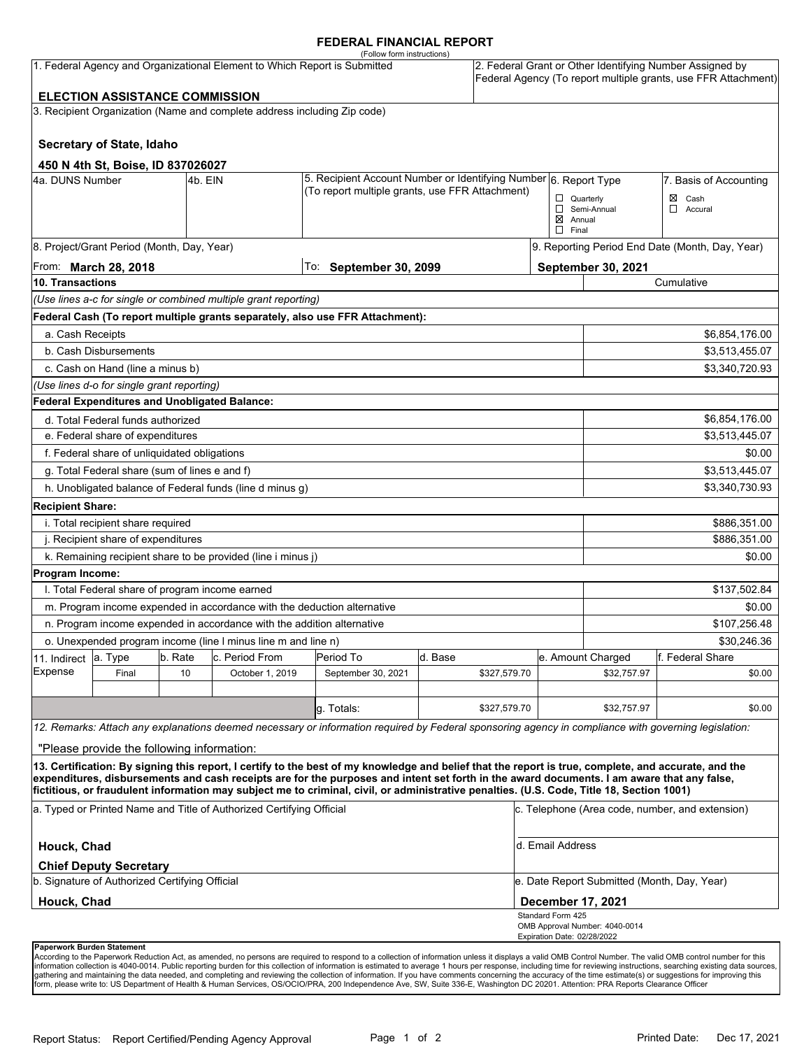#### **FEDERAL FINANCIAL REPORT**

|                                                                                 |                                                 |         |                                                                          | (Follow form instructions)                                                                                                                                                                                                                                                              |                                                                  |              |                                                                                                                            |                                                         |                  |  |
|---------------------------------------------------------------------------------|-------------------------------------------------|---------|--------------------------------------------------------------------------|-----------------------------------------------------------------------------------------------------------------------------------------------------------------------------------------------------------------------------------------------------------------------------------------|------------------------------------------------------------------|--------------|----------------------------------------------------------------------------------------------------------------------------|---------------------------------------------------------|------------------|--|
| 1. Federal Agency and Organizational Element to Which Report is Submitted       |                                                 |         |                                                                          |                                                                                                                                                                                                                                                                                         |                                                                  |              | 2. Federal Grant or Other Identifying Number Assigned by<br>Federal Agency (To report multiple grants, use FFR Attachment) |                                                         |                  |  |
|                                                                                 | <b>ELECTION ASSISTANCE COMMISSION</b>           |         |                                                                          |                                                                                                                                                                                                                                                                                         |                                                                  |              |                                                                                                                            |                                                         |                  |  |
|                                                                                 |                                                 |         | 3. Recipient Organization (Name and complete address including Zip code) |                                                                                                                                                                                                                                                                                         |                                                                  |              |                                                                                                                            |                                                         |                  |  |
|                                                                                 | Secretary of State, Idaho                       |         |                                                                          |                                                                                                                                                                                                                                                                                         |                                                                  |              |                                                                                                                            |                                                         |                  |  |
|                                                                                 | 450 N 4th St, Boise, ID 837026027               |         |                                                                          |                                                                                                                                                                                                                                                                                         |                                                                  |              |                                                                                                                            |                                                         |                  |  |
| 4a. DUNS Number                                                                 |                                                 | 4b. EIN |                                                                          |                                                                                                                                                                                                                                                                                         | 5. Recipient Account Number or Identifying Number 6. Report Type |              |                                                                                                                            | 7. Basis of Accounting<br>Cash<br>$\Box$ Quarterly<br>⊠ |                  |  |
|                                                                                 |                                                 |         |                                                                          | (To report multiple grants, use FFR Attachment)                                                                                                                                                                                                                                         |                                                                  |              |                                                                                                                            |                                                         |                  |  |
|                                                                                 |                                                 |         |                                                                          |                                                                                                                                                                                                                                                                                         |                                                                  |              |                                                                                                                            | Semi-Annual<br>$\Box$<br>Accural<br>Annual              |                  |  |
|                                                                                 |                                                 |         |                                                                          |                                                                                                                                                                                                                                                                                         |                                                                  |              | ⊠<br>$\Box$ Final                                                                                                          |                                                         |                  |  |
|                                                                                 | 8. Project/Grant Period (Month, Day, Year)      |         |                                                                          |                                                                                                                                                                                                                                                                                         |                                                                  |              |                                                                                                                            | 9. Reporting Period End Date (Month, Day, Year)         |                  |  |
| From: <b>March 28, 2018</b>                                                     |                                                 |         |                                                                          | To: September 30, 2099                                                                                                                                                                                                                                                                  |                                                                  |              | <b>September 30, 2021</b>                                                                                                  |                                                         |                  |  |
| 10. Transactions                                                                |                                                 |         |                                                                          |                                                                                                                                                                                                                                                                                         |                                                                  |              |                                                                                                                            | Cumulative                                              |                  |  |
|                                                                                 |                                                 |         | (Use lines a-c for single or combined multiple grant reporting)          |                                                                                                                                                                                                                                                                                         |                                                                  |              |                                                                                                                            |                                                         |                  |  |
|                                                                                 |                                                 |         |                                                                          | Federal Cash (To report multiple grants separately, also use FFR Attachment):                                                                                                                                                                                                           |                                                                  |              |                                                                                                                            |                                                         |                  |  |
| a. Cash Receipts                                                                |                                                 |         |                                                                          |                                                                                                                                                                                                                                                                                         |                                                                  |              |                                                                                                                            |                                                         | \$6,854,176.00   |  |
|                                                                                 | b. Cash Disbursements                           |         |                                                                          |                                                                                                                                                                                                                                                                                         |                                                                  |              |                                                                                                                            | \$3,513,455.07                                          |                  |  |
| c. Cash on Hand (line a minus b)                                                |                                                 |         |                                                                          |                                                                                                                                                                                                                                                                                         |                                                                  |              |                                                                                                                            |                                                         | \$3,340,720.93   |  |
|                                                                                 | (Use lines d-o for single grant reporting)      |         |                                                                          |                                                                                                                                                                                                                                                                                         |                                                                  |              |                                                                                                                            |                                                         |                  |  |
|                                                                                 | Federal Expenditures and Unobligated Balance:   |         |                                                                          |                                                                                                                                                                                                                                                                                         |                                                                  |              |                                                                                                                            |                                                         |                  |  |
| d. Total Federal funds authorized                                               |                                                 |         |                                                                          |                                                                                                                                                                                                                                                                                         |                                                                  |              |                                                                                                                            | \$6,854,176.00                                          |                  |  |
| e. Federal share of expenditures                                                |                                                 |         |                                                                          |                                                                                                                                                                                                                                                                                         |                                                                  |              |                                                                                                                            |                                                         | \$3,513,445.07   |  |
| f. Federal share of unliquidated obligations                                    |                                                 |         |                                                                          |                                                                                                                                                                                                                                                                                         |                                                                  |              |                                                                                                                            |                                                         | \$0.00           |  |
| g. Total Federal share (sum of lines e and f)                                   |                                                 |         |                                                                          |                                                                                                                                                                                                                                                                                         |                                                                  |              |                                                                                                                            |                                                         | \$3,513,445.07   |  |
|                                                                                 |                                                 |         | h. Unobligated balance of Federal funds (line d minus g)                 |                                                                                                                                                                                                                                                                                         |                                                                  |              |                                                                                                                            |                                                         | \$3,340,730.93   |  |
| <b>Recipient Share:</b>                                                         |                                                 |         |                                                                          |                                                                                                                                                                                                                                                                                         |                                                                  |              |                                                                                                                            |                                                         |                  |  |
|                                                                                 | i. Total recipient share required               |         |                                                                          |                                                                                                                                                                                                                                                                                         |                                                                  |              |                                                                                                                            |                                                         | \$886,351.00     |  |
| j. Recipient share of expenditures                                              |                                                 |         |                                                                          |                                                                                                                                                                                                                                                                                         |                                                                  |              |                                                                                                                            | \$886,351.00                                            |                  |  |
|                                                                                 |                                                 |         | k. Remaining recipient share to be provided (line i minus j)             |                                                                                                                                                                                                                                                                                         |                                                                  |              |                                                                                                                            |                                                         | \$0.00           |  |
| Program Income:                                                                 |                                                 |         |                                                                          |                                                                                                                                                                                                                                                                                         |                                                                  |              |                                                                                                                            |                                                         |                  |  |
|                                                                                 | I. Total Federal share of program income earned |         |                                                                          |                                                                                                                                                                                                                                                                                         |                                                                  |              |                                                                                                                            |                                                         | \$137,502.84     |  |
| m. Program income expended in accordance with the deduction alternative         |                                                 |         |                                                                          |                                                                                                                                                                                                                                                                                         |                                                                  |              |                                                                                                                            | \$0.00                                                  |                  |  |
| n. Program income expended in accordance with the addition alternative          |                                                 |         |                                                                          |                                                                                                                                                                                                                                                                                         |                                                                  |              |                                                                                                                            | \$107,256.48                                            |                  |  |
| o. Unexpended program income (line I minus line m and line n)                   |                                                 |         |                                                                          |                                                                                                                                                                                                                                                                                         |                                                                  |              |                                                                                                                            | \$30,246.36                                             |                  |  |
| 11. Indirect                                                                    | a. Type                                         | b. Rate | c. Period From                                                           | Period To                                                                                                                                                                                                                                                                               | d. Base                                                          |              |                                                                                                                            | e. Amount Charged                                       | f. Federal Share |  |
| Expense                                                                         | Final                                           | 10      | October 1, 2019                                                          | September 30, 2021                                                                                                                                                                                                                                                                      |                                                                  | \$327,579.70 |                                                                                                                            | \$32,757.97                                             | \$0.00           |  |
|                                                                                 |                                                 |         |                                                                          |                                                                                                                                                                                                                                                                                         |                                                                  |              |                                                                                                                            |                                                         |                  |  |
|                                                                                 |                                                 |         |                                                                          | g. Totals:                                                                                                                                                                                                                                                                              |                                                                  | \$327,579.70 |                                                                                                                            | \$32,757.97                                             | \$0.00           |  |
|                                                                                 |                                                 |         |                                                                          | 12. Remarks: Attach any explanations deemed necessary or information required by Federal sponsoring agency in compliance with governing legislation:                                                                                                                                    |                                                                  |              |                                                                                                                            |                                                         |                  |  |
|                                                                                 | "Please provide the following information:      |         |                                                                          |                                                                                                                                                                                                                                                                                         |                                                                  |              |                                                                                                                            |                                                         |                  |  |
|                                                                                 |                                                 |         |                                                                          | 13. Certification: By signing this report, I certify to the best of my knowledge and belief that the report is true, complete, and accurate, and the                                                                                                                                    |                                                                  |              |                                                                                                                            |                                                         |                  |  |
|                                                                                 |                                                 |         |                                                                          | expenditures, disbursements and cash receipts are for the purposes and intent set forth in the award documents. I am aware that any false,<br>fictitious, or fraudulent information may subject me to criminal, civil, or administrative penalties. (U.S. Code, Title 18, Section 1001) |                                                                  |              |                                                                                                                            |                                                         |                  |  |
| a. Typed or Printed Name and Title of Authorized Certifying Official            |                                                 |         |                                                                          |                                                                                                                                                                                                                                                                                         |                                                                  |              | c. Telephone (Area code, number, and extension)                                                                            |                                                         |                  |  |
| Houck, Chad                                                                     |                                                 |         |                                                                          |                                                                                                                                                                                                                                                                                         |                                                                  |              | d. Email Address                                                                                                           |                                                         |                  |  |
| <b>Chief Deputy Secretary</b><br>b. Signature of Authorized Certifying Official |                                                 |         |                                                                          |                                                                                                                                                                                                                                                                                         |                                                                  |              |                                                                                                                            |                                                         |                  |  |
| <b>Houck, Chad</b>                                                              |                                                 |         |                                                                          |                                                                                                                                                                                                                                                                                         |                                                                  |              | e. Date Report Submitted (Month, Day, Year)<br><b>December 17, 2021</b>                                                    |                                                         |                  |  |
|                                                                                 |                                                 |         |                                                                          |                                                                                                                                                                                                                                                                                         |                                                                  |              | Standard Form 425                                                                                                          |                                                         |                  |  |
|                                                                                 |                                                 |         |                                                                          |                                                                                                                                                                                                                                                                                         |                                                                  |              | Expiration Date: 02/28/2022                                                                                                | OMB Approval Number: 4040-0014                          |                  |  |
|                                                                                 |                                                 |         |                                                                          |                                                                                                                                                                                                                                                                                         |                                                                  |              |                                                                                                                            |                                                         |                  |  |

#### **Paperwork Burden Statement**

According to the Paperwork Reduction Act, as amended, no persons are required to respond to a collection of information unless it displays a valid OMB Control Number. The valid OMB control number for this<br>information colle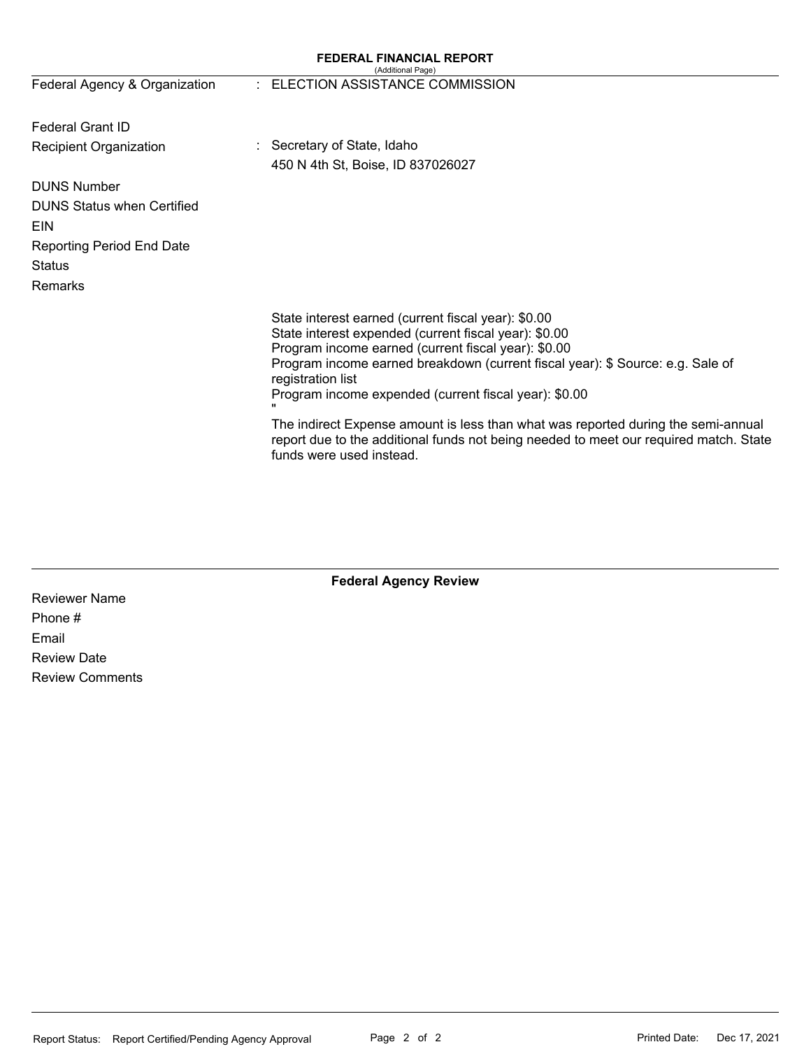| <b>FEDERAL FINANCIAL REPORT</b><br>(Additional Page) |                                                                                                                                                                                                        |  |  |  |  |  |
|------------------------------------------------------|--------------------------------------------------------------------------------------------------------------------------------------------------------------------------------------------------------|--|--|--|--|--|
| Federal Agency & Organization                        | : ELECTION ASSISTANCE COMMISSION                                                                                                                                                                       |  |  |  |  |  |
| <b>Federal Grant ID</b>                              |                                                                                                                                                                                                        |  |  |  |  |  |
| Recipient Organization                               | : Secretary of State, Idaho                                                                                                                                                                            |  |  |  |  |  |
|                                                      | 450 N 4th St, Boise, ID 837026027                                                                                                                                                                      |  |  |  |  |  |
| <b>DUNS Number</b>                                   |                                                                                                                                                                                                        |  |  |  |  |  |
| <b>DUNS Status when Certified</b>                    |                                                                                                                                                                                                        |  |  |  |  |  |
| <b>EIN</b>                                           |                                                                                                                                                                                                        |  |  |  |  |  |
| <b>Reporting Period End Date</b>                     |                                                                                                                                                                                                        |  |  |  |  |  |
| <b>Status</b>                                        |                                                                                                                                                                                                        |  |  |  |  |  |
| Remarks                                              |                                                                                                                                                                                                        |  |  |  |  |  |
|                                                      | State interest earned (current fiscal year): \$0.00<br>State interest expended (current fiscal year): \$0.00<br>Program income earned (current fiscal year): \$0.00                                    |  |  |  |  |  |
|                                                      | Program income earned breakdown (current fiscal year): \$ Source: e.g. Sale of<br>registration list                                                                                                    |  |  |  |  |  |
|                                                      | Program income expended (current fiscal year): \$0.00                                                                                                                                                  |  |  |  |  |  |
|                                                      | The indirect Expense amount is less than what was reported during the semi-annual<br>report due to the additional funds not being needed to meet our required match. State<br>funds were used instead. |  |  |  |  |  |

# **Federal Agency Review**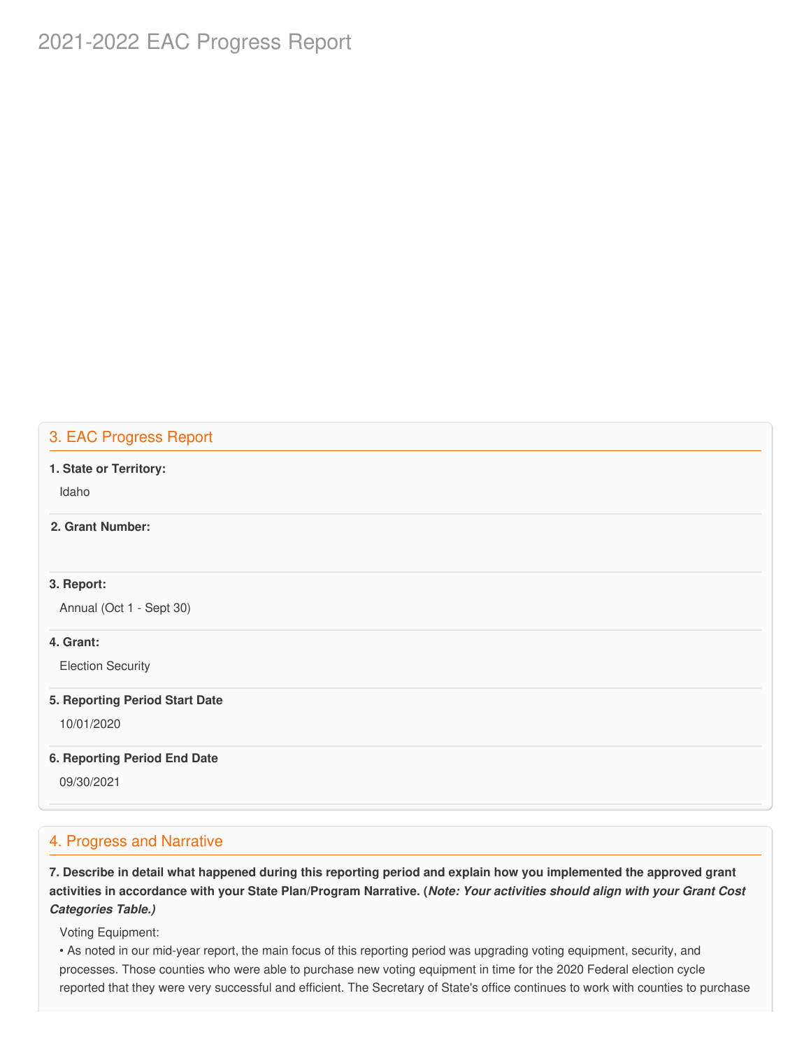# 2021-2022 EAC Progress Report

# 3. EAC Progress Report

#### **1. State or Territory:**

Idaho

## **2. Grant Number:**

#### **3. Report:**

Annual (Oct 1 - Sept 30)

#### **4. Grant:**

Election Security

#### **5. Reporting Period Start Date**

10/01/2020

#### **6. Reporting Period End Date**

09/30/2021

## 4. Progress and Narrative

7. Describe in detail what happened during this reporting period and explain how you implemented the approved grant activities in accordance with your State Plan/Program Narrative. (*Note: Your activities should align with your Grant Cost Categories Table.)*

Voting Equipment:

 • As noted in our mid-year report, the main focus of this reporting period was upgrading voting equipment, security, and processes. Those counties who were able to purchase new voting equipment in time for the 2020 Federal election cycle reported that they were very successful and efficient. The Secretary of State's office continues to work with counties to purchase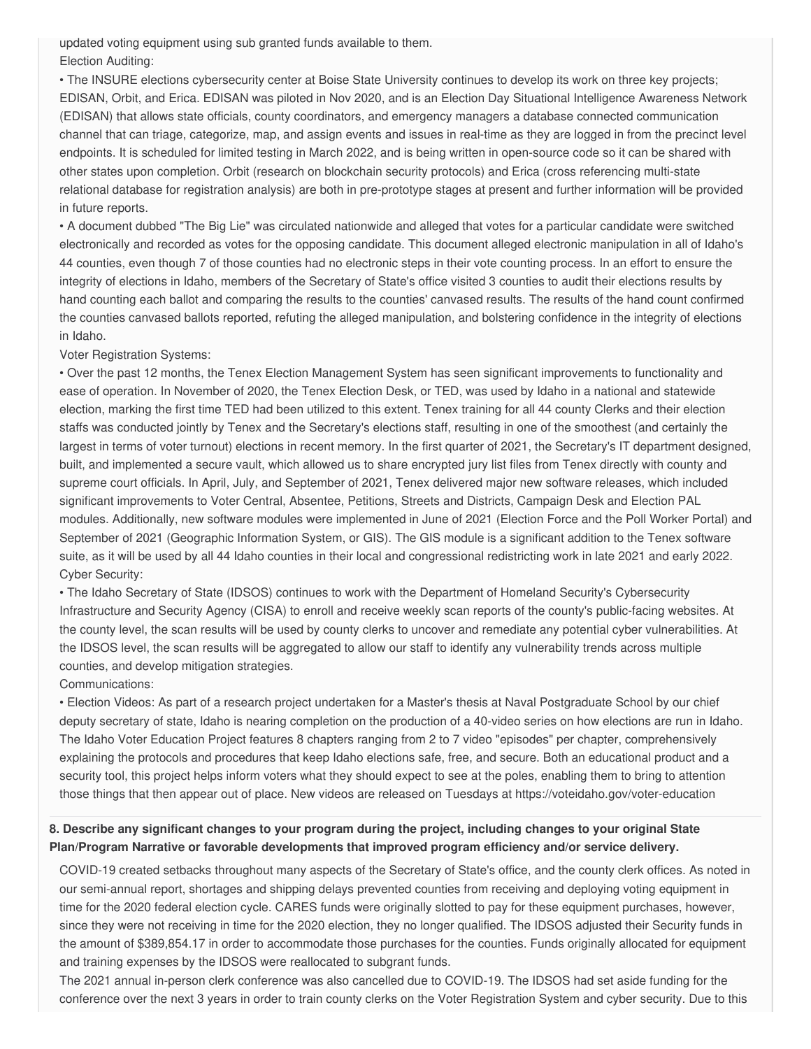updated voting equipment using sub granted funds available to them. Election Auditing:

 • The INSURE elections cybersecurity center at Boise State University continues to develop its work on three key projects; EDISAN, Orbit, and Erica. EDISAN was piloted in Nov 2020, and is an Election Day Situational Intelligence Awareness Network (EDISAN) that allows state officials, county coordinators, and emergency managers a database connected communication channel that can triage, categorize, map, and assign events and issues in real-time as they are logged in from the precinct level endpoints. It is scheduled for limited testing in March 2022, and is being written in open-source code so it can be shared with other states upon completion. Orbit (research on blockchain security protocols) and Erica (cross referencing multi-state relational database for registration analysis) are both in pre-prototype stages at present and further information will be provided in future reports.

 • A document dubbed "The Big Lie" was circulated nationwide and alleged that votes for a particular candidate were switched electronically and recorded as votes for the opposing candidate. This document alleged electronic manipulation in all of Idaho's 44 counties, even though 7 of those counties had no electronic steps in their vote counting process. In an effort to ensure the integrity of elections in Idaho, members of the Secretary of State's office visited 3 counties to audit their elections results by hand counting each ballot and comparing the results to the counties' canvased results. The results of the hand count confirmed the counties canvased ballots reported, refuting the alleged manipulation, and bolstering confidence in the integrity of elections in Idaho.

Voter Registration Systems:

 • Over the past 12 months, the Tenex Election Management System has seen significant improvements to functionality and ease of operation. In November of 2020, the Tenex Election Desk, or TED, was used by Idaho in a national and statewide election, marking the first time TED had been utilized to this extent. Tenex training for all 44 county Clerks and their election staffs was conducted jointly by Tenex and the Secretary's elections staff, resulting in one of the smoothest (and certainly the largest in terms of voter turnout) elections in recent memory. In the first quarter of 2021, the Secretary's IT department designed, built, and implemented a secure vault, which allowed us to share encrypted jury list files from Tenex directly with county and supreme court officials. In April, July, and September of 2021, Tenex delivered major new software releases, which included significant improvements to Voter Central, Absentee, Petitions, Streets and Districts, Campaign Desk and Election PAL modules. Additionally, new software modules were implemented in June of 2021 (Election Force and the Poll Worker Portal) and September of 2021 (Geographic Information System, or GIS). The GIS module is a significant addition to the Tenex software suite, as it will be used by all 44 Idaho counties in their local and congressional redistricting work in late 2021 and early 2022. Cyber Security:

 • The Idaho Secretary of State (IDSOS) continues to work with the Department of Homeland Security's Cybersecurity Infrastructure and Security Agency (CISA) to enroll and receive weekly scan reports of the county's public-facing websites. At the county level, the scan results will be used by county clerks to uncover and remediate any potential cyber vulnerabilities. At the IDSOS level, the scan results will be aggregated to allow our staff to identify any vulnerability trends across multiple counties, and develop mitigation strategies.

Communications:

 • Election Videos: As part of a research project undertaken for a Master's thesis at Naval Postgraduate School by our chief deputy secretary of state, Idaho is nearing completion on the production of a 40-video series on how elections are run in Idaho. The Idaho Voter Education Project features 8 chapters ranging from 2 to 7 video "episodes" per chapter, comprehensively explaining the protocols and procedures that keep Idaho elections safe, free, and secure. Both an educational product and a security tool, this project helps inform voters what they should expect to see at the poles, enabling them to bring to attention those things that then appear out of place. New videos are released on Tuesdays at <https://voteidaho.gov/voter-education>

### 8. Describe any significant changes to your program during the project, including changes to your original State  **Plan/Program Narrative or favorable developments that improved program efficiency and/or service delivery.**

 COVID-19 created setbacks throughout many aspects of the Secretary of State's office, and the county clerk offices. As noted in our semi-annual report, shortages and shipping delays prevented counties from receiving and deploying voting equipment in time for the 2020 federal election cycle. CARES funds were originally slotted to pay for these equipment purchases, however, since they were not receiving in time for the 2020 election, they no longer qualified. The IDSOS adjusted their Security funds in the amount of \$[389,854.17](https://389,854.17) in order to accommodate those purchases for the counties. Funds originally allocated for equipment and training expenses by the IDSOS were reallocated to subgrant funds.

 The 2021 annual in-person clerk conference was also cancelled due to COVID-19. The IDSOS had set aside funding for the conference over the next 3 years in order to train county clerks on the Voter Registration System and cyber security. Due to this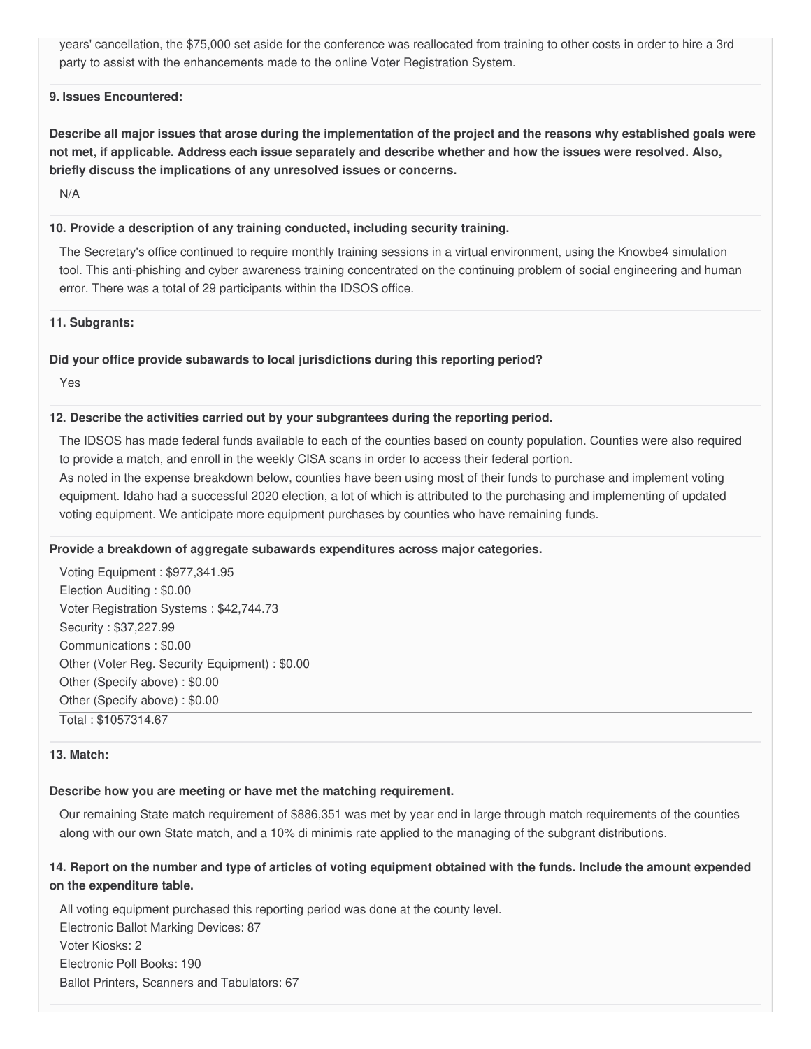years' cancellation, the \$75,000 set aside for the conference was reallocated from training to other costs in order to hire a 3rd party to assist with the enhancements made to the online Voter Registration System.

#### **9. Issues Encountered:**

Describe all major issues that arose during the implementation of the project and the reasons why established goals were not met, if applicable. Address each issue separately and describe whether and how the issues were resolved. Also,  **briefly discuss the implications of any unresolved issues or concerns.**

N/A

#### **10. Provide a description of any training conducted, including security training.**

 The Secretary's office continued to require monthly training sessions in a virtual environment, using the Knowbe4 simulation tool. This anti-phishing and cyber awareness training concentrated on the continuing problem of social engineering and human error. There was a total of 29 participants within the IDSOS office.

#### **11. Subgrants:**

#### **Did your office provide subawards to local jurisdictions during this reporting period?**

Yes

#### **12. Describe the activities carried out by your subgrantees during the reporting period.**

 The IDSOS has made federal funds available to each of the counties based on county population. Counties were also required to provide a match, and enroll in the weekly CISA scans in order to access their federal portion.

 As noted in the expense breakdown below, counties have been using most of their funds to purchase and implement voting equipment. Idaho had a successful 2020 election, a lot of which is attributed to the purchasing and implementing of updated voting equipment. We anticipate more equipment purchases by counties who have remaining funds.

#### **Provide a breakdown of aggregate subawards expenditures across major categories.**

 Voting Equipment : [\\$977,341.95](https://977,341.95) Election Auditing : \$0.00 Voter Registration Systems : [\\$42,744.73](https://42,744.73) Security : \$[37,227.99](https://37,227.99) Communications : \$0.00 Other (Voter Reg. Security Equipment) : \$0.00 Other (Specify above) : \$0.00 Other (Specify above) : \$0.00 Total : [\\$1057314.67](https://1057314.67)

#### **13. Match:**

#### **Describe how you are meeting or have met the matching requirement.**

 Our remaining State match requirement of \$886,351 was met by year end in large through match requirements of the counties along with our own State match, and a 10% di minimis rate applied to the managing of the subgrant distributions.

#### 14. Report on the number and type of articles of voting equipment obtained with the funds. Include the amount expended  **on the expenditure table.**

 All voting equipment purchased this reporting period was done at the county level. Electronic Ballot Marking Devices: 87 Voter Kiosks: 2 Electronic Poll Books: 190 Ballot Printers, Scanners and Tabulators: 67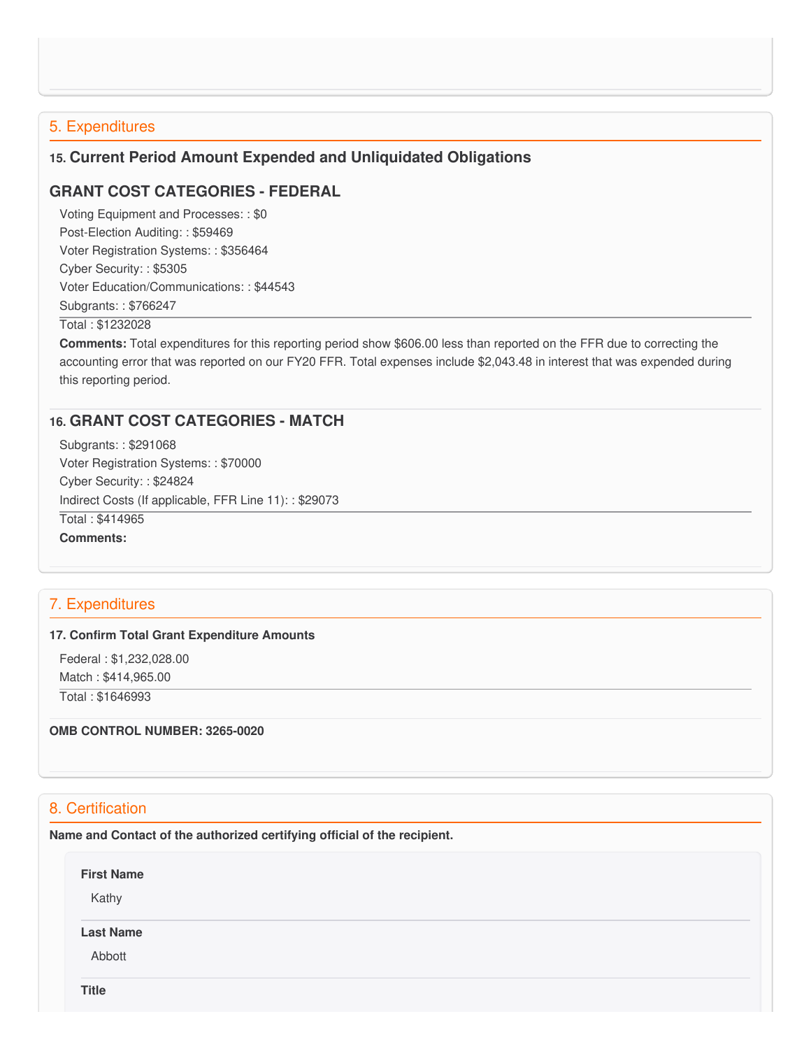# 5. Expenditures

# **15. Current Period Amount Expended and Unliquidated Obligations**

# **GRANT COST CATEGORIES - FEDERAL**

 Voting Equipment and Processes: : \$0 Post-Election Auditing: : \$59469 Voter Registration Systems: : \$356464 Cyber Security: : \$5305 Voter Education/Communications: : \$44543 Subgrants: : \$766247

#### Total : \$1232028

 **Comments:** Total expenditures for this reporting period show \$606.00 less than reported on the FFR due to correcting the accounting error that was reported on our FY20 FFR. Total expenses include [\\$2,043.48](https://2,043.48) in interest that was expended during this reporting period.

### **16. GRANT COST CATEGORIES - MATCH**

 Subgrants: : \$291068 Voter Registration Systems: : \$70000 Cyber Security: : \$24824 Indirect Costs (If applicable, FFR Line 11): : \$29073 Total : \$414965 **Comments:**

## 7. Expenditures

#### **17. Confirm Total Grant Expenditure Amounts**

 Federal : \$[1,232,028.00](https://1,232,028.00) Match : \$[414,965.00](https://414,965.00) Total : \$1646993

 **OMB CONTROL NUMBER: 3265-0020**

# 8. Certification

 **Name and Contact of the authorized certifying official of the recipient.**

**First Name** Kathy **Last Name** Abbott

**Title**